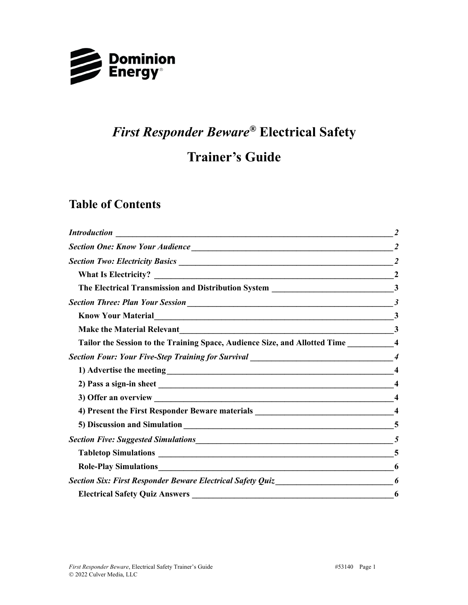

# *First Responder Beware®* **Electrical Safety**

## **Trainer's Guide**

### **Table of Contents**

| <b>Introduction</b>                                                                        |                         |
|--------------------------------------------------------------------------------------------|-------------------------|
|                                                                                            |                         |
|                                                                                            |                         |
|                                                                                            | <sup>2</sup>            |
| The Electrical Transmission and Distribution System _________________________________3     |                         |
|                                                                                            |                         |
|                                                                                            | $\mathbf{3}$            |
|                                                                                            | 3                       |
| Tailor the Session to the Training Space, Audience Size, and Allotted Time ____________4   |                         |
|                                                                                            |                         |
|                                                                                            |                         |
|                                                                                            |                         |
|                                                                                            |                         |
| 4) Present the First Responder Beware materials _________________________________          | $\overline{\mathbf{4}}$ |
|                                                                                            |                         |
|                                                                                            |                         |
|                                                                                            |                         |
|                                                                                            | 6                       |
| Section Six: First Responder Beware Electrical Safety Quiz_______________________________6 |                         |
|                                                                                            | 6                       |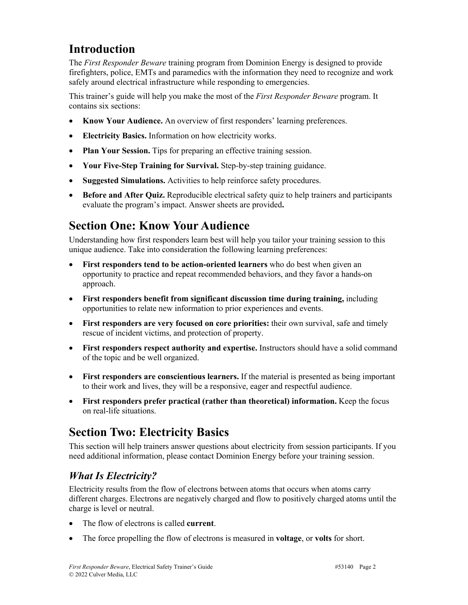### **Introduction**

The *First Responder Beware* training program from Dominion Energy is designed to provide firefighters, police, EMTs and paramedics with the information they need to recognize and work safely around electrical infrastructure while responding to emergencies.

This trainer's guide will help you make the most of the *First Responder Beware* program. It contains six sections:

- **Know Your Audience.** An overview of first responders' learning preferences.
- **Electricity Basics.** Information on how electricity works.
- **Plan Your Session.** Tips for preparing an effective training session.
- **Your Five-Step Training for Survival.** Step-by-step training guidance.
- **Suggested Simulations.** Activities to help reinforce safety procedures.
- **Before and After Quiz.** Reproducible electrical safety quiz to help trainers and participants evaluate the program's impact. Answer sheets are provided**.**

## **Section One: Know Your Audience**

Understanding how first responders learn best will help you tailor your training session to this unique audience. Take into consideration the following learning preferences:

- **First responders tend to be action-oriented learners** who do best when given an opportunity to practice and repeat recommended behaviors, and they favor a hands-on approach.
- **First responders benefit from significant discussion time during training,** including opportunities to relate new information to prior experiences and events.
- **First responders are very focused on core priorities:** their own survival, safe and timely rescue of incident victims, and protection of property.
- **First responders respect authority and expertise.** Instructors should have a solid command of the topic and be well organized.
- **First responders are conscientious learners.** If the material is presented as being important to their work and lives, they will be a responsive, eager and respectful audience.
- **First responders prefer practical (rather than theoretical) information.** Keep the focus on real-life situations.

## **Section Two: Electricity Basics**

This section will help trainers answer questions about electricity from session participants. If you need additional information, please contact Dominion Energy before your training session.

### *What Is Electricity?*

Electricity results from the flow of electrons between atoms that occurs when atoms carry different charges. Electrons are negatively charged and flow to positively charged atoms until the charge is level or neutral.

- The flow of electrons is called **current**.
- The force propelling the flow of electrons is measured in **voltage**, or **volts** for short.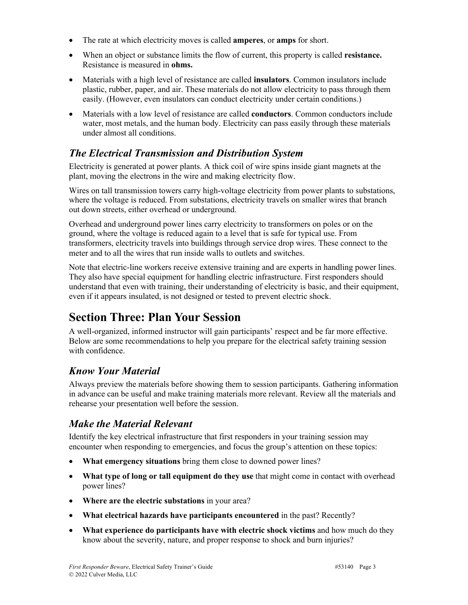- The rate at which electricity moves is called **amperes**, or **amps** for short.
- When an object or substance limits the flow of current, this property is called **resistance.**  Resistance is measured in **ohms.**
- Materials with a high level of resistance are called **insulators**. Common insulators include plastic, rubber, paper, and air. These materials do not allow electricity to pass through them easily. (However, even insulators can conduct electricity under certain conditions.)
- Materials with a low level of resistance are called **conductors**. Common conductors include water, most metals, and the human body. Electricity can pass easily through these materials under almost all conditions.

### *The Electrical Transmission and Distribution System*

Electricity is generated at power plants. A thick coil of wire spins inside giant magnets at the plant, moving the electrons in the wire and making electricity flow.

Wires on tall transmission towers carry high-voltage electricity from power plants to substations, where the voltage is reduced. From substations, electricity travels on smaller wires that branch out down streets, either overhead or underground.

Overhead and underground power lines carry electricity to transformers on poles or on the ground, where the voltage is reduced again to a level that is safe for typical use. From transformers, electricity travels into buildings through service drop wires. These connect to the meter and to all the wires that run inside walls to outlets and switches.

Note that electric-line workers receive extensive training and are experts in handling power lines. They also have special equipment for handling electric infrastructure. First responders should understand that even with training, their understanding of electricity is basic, and their equipment, even if it appears insulated, is not designed or tested to prevent electric shock.

## **Section Three: Plan Your Session**

A well-organized, informed instructor will gain participants' respect and be far more effective. Below are some recommendations to help you prepare for the electrical safety training session with confidence.

### *Know Your Material*

Always preview the materials before showing them to session participants. Gathering information in advance can be useful and make training materials more relevant. Review all the materials and rehearse your presentation well before the session.

### *Make the Material Relevant*

Identify the key electrical infrastructure that first responders in your training session may encounter when responding to emergencies, and focus the group's attention on these topics:

- **What emergency situations** bring them close to downed power lines?
- **What type of long or tall equipment do they use** that might come in contact with overhead power lines?
- **Where are the electric substations** in your area?
- **What electrical hazards have participants encountered** in the past? Recently?
- **What experience do participants have with electric shock victims** and how much do they know about the severity, nature, and proper response to shock and burn injuries?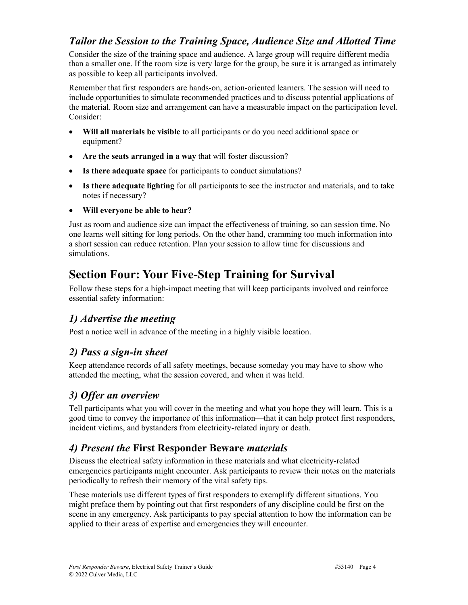#### *Tailor the Session to the Training Space, Audience Size and Allotted Time*

Consider the size of the training space and audience. A large group will require different media than a smaller one. If the room size is very large for the group, be sure it is arranged as intimately as possible to keep all participants involved.

Remember that first responders are hands-on, action-oriented learners. The session will need to include opportunities to simulate recommended practices and to discuss potential applications of the material. Room size and arrangement can have a measurable impact on the participation level. Consider:

- **Will all materials be visible** to all participants or do you need additional space or equipment?
- **Are the seats arranged in a way** that will foster discussion?
- **Is there adequate space** for participants to conduct simulations?
- **Is there adequate lighting** for all participants to see the instructor and materials, and to take notes if necessary?
- **Will everyone be able to hear?**

Just as room and audience size can impact the effectiveness of training, so can session time. No one learns well sitting for long periods. On the other hand, cramming too much information into a short session can reduce retention. Plan your session to allow time for discussions and simulations.

### **Section Four: Your Five-Step Training for Survival**

Follow these steps for a high-impact meeting that will keep participants involved and reinforce essential safety information:

### *1) Advertise the meeting*

Post a notice well in advance of the meeting in a highly visible location.

### *2) Pass a sign-in sheet*

Keep attendance records of all safety meetings, because someday you may have to show who attended the meeting, what the session covered, and when it was held.

### *3) Offer an overview*

Tell participants what you will cover in the meeting and what you hope they will learn. This is a good time to convey the importance of this information—that it can help protect first responders, incident victims, and bystanders from electricity-related injury or death.

### *4) Present the* **First Responder Beware** *materials*

Discuss the electrical safety information in these materials and what electricity-related emergencies participants might encounter. Ask participants to review their notes on the materials periodically to refresh their memory of the vital safety tips.

These materials use different types of first responders to exemplify different situations. You might preface them by pointing out that first responders of any discipline could be first on the scene in any emergency. Ask participants to pay special attention to how the information can be applied to their areas of expertise and emergencies they will encounter.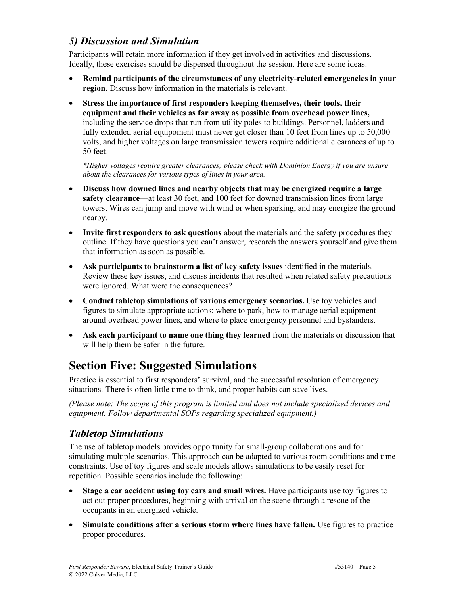#### *5) Discussion and Simulation*

Participants will retain more information if they get involved in activities and discussions. Ideally, these exercises should be dispersed throughout the session. Here are some ideas:

- **Remind participants of the circumstances of any electricity-related emergencies in your region.** Discuss how information in the materials is relevant.
- **Stress the importance of first responders keeping themselves, their tools, their equipment and their vehicles as far away as possible from overhead power lines,**  including the service drops that run from utility poles to buildings. Personnel, ladders and fully extended aerial equipoment must never get closer than 10 feet from lines up to 50,000 volts, and higher voltages on large transmission towers require additional clearances of up to 50 feet.

*\*Higher voltages require greater clearances; please check with Dominion Energy if you are unsure about the clearances for various types of lines in your area.*

- **Discuss how downed lines and nearby objects that may be energized require a large safety clearance**—at least 30 feet, and 100 feet for downed transmission lines from large towers. Wires can jump and move with wind or when sparking, and may energize the ground nearby.
- **Invite first responders to ask questions** about the materials and the safety procedures they outline. If they have questions you can't answer, research the answers yourself and give them that information as soon as possible.
- **Ask participants to brainstorm a list of key safety issues** identified in the materials. Review these key issues, and discuss incidents that resulted when related safety precautions were ignored. What were the consequences?
- **Conduct tabletop simulations of various emergency scenarios.** Use toy vehicles and figures to simulate appropriate actions: where to park, how to manage aerial equipment around overhead power lines, and where to place emergency personnel and bystanders.
- **Ask each participant to name one thing they learned** from the materials or discussion that will help them be safer in the future.

### **Section Five: Suggested Simulations**

Practice is essential to first responders' survival, and the successful resolution of emergency situations. There is often little time to think, and proper habits can save lives.

*(Please note: The scope of this program is limited and does not include specialized devices and equipment. Follow departmental SOPs regarding specialized equipment.)*

#### *Tabletop Simulations*

The use of tabletop models provides opportunity for small-group collaborations and for simulating multiple scenarios. This approach can be adapted to various room conditions and time constraints. Use of toy figures and scale models allows simulations to be easily reset for repetition. Possible scenarios include the following:

- **Stage a car accident using toy cars and small wires.** Have participants use toy figures to act out proper procedures, beginning with arrival on the scene through a rescue of the occupants in an energized vehicle.
- **Simulate conditions after a serious storm where lines have fallen.** Use figures to practice proper procedures.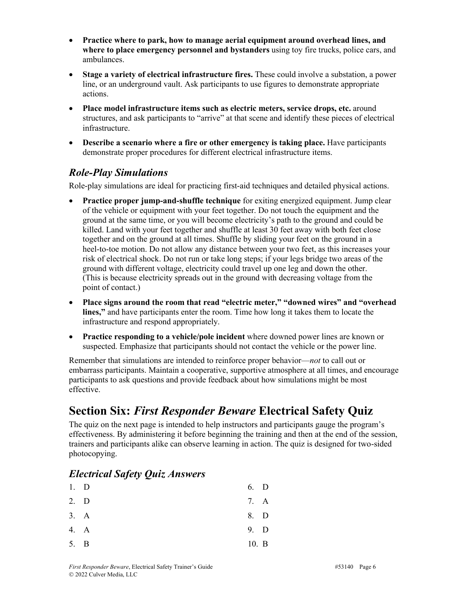- **Practice where to park, how to manage aerial equipment around overhead lines, and where to place emergency personnel and bystanders** using toy fire trucks, police cars, and ambulances.
- **Stage a variety of electrical infrastructure fires.** These could involve a substation, a power line, or an underground vault. Ask participants to use figures to demonstrate appropriate actions.
- **Place model infrastructure items such as electric meters, service drops, etc.** around structures, and ask participants to "arrive" at that scene and identify these pieces of electrical infrastructure.
- **Describe a scenario where a fire or other emergency is taking place.** Have participants demonstrate proper procedures for different electrical infrastructure items.

#### *Role-Play Simulations*

Role-play simulations are ideal for practicing first-aid techniques and detailed physical actions.

- **Practice proper jump-and-shuffle technique** for exiting energized equipment. Jump clear of the vehicle or equipment with your feet together. Do not touch the equipment and the ground at the same time, or you will become electricity's path to the ground and could be killed. Land with your feet together and shuffle at least 30 feet away with both feet close together and on the ground at all times. Shuffle by sliding your feet on the ground in a heel-to-toe motion. Do not allow any distance between your two feet, as this increases your risk of electrical shock. Do not run or take long steps; if your legs bridge two areas of the ground with different voltage, electricity could travel up one leg and down the other. (This is because electricity spreads out in the ground with decreasing voltage from the point of contact.)
- **Place signs around the room that read "electric meter," "downed wires" and "overhead lines,"** and have participants enter the room. Time how long it takes them to locate the infrastructure and respond appropriately.
- **Practice responding to a vehicle/pole incident** where downed power lines are known or suspected. Emphasize that participants should not contact the vehicle or the power line.

Remember that simulations are intended to reinforce proper behavior—*not* to call out or embarrass participants. Maintain a cooperative, supportive atmosphere at all times, and encourage participants to ask questions and provide feedback about how simulations might be most effective.

## **Section Six:** *First Responder Beware* **Electrical Safety Quiz**

The quiz on the next page is intended to help instructors and participants gauge the program's effectiveness. By administering it before beginning the training and then at the end of the session, trainers and participants alike can observe learning in action. The quiz is designed for two-sided photocopying.

### *Electrical Safety Quiz Answers*

| $1.$ D |      | 6. D  |  |
|--------|------|-------|--|
| 2. D   |      | 7. A  |  |
|        | 3. A | 8. D  |  |
|        | 4. A | 9. D  |  |
| 5. B   |      | 10. B |  |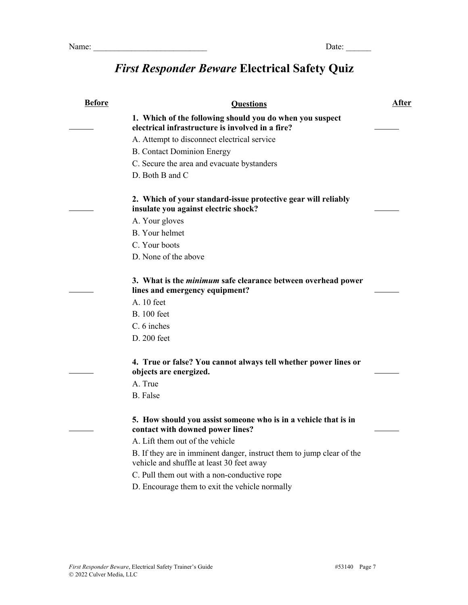# *First Responder Beware* **Electrical Safety Quiz**

| <b>Before</b> | <b>Questions</b>                                                                                                   | <u>After</u> |
|---------------|--------------------------------------------------------------------------------------------------------------------|--------------|
|               | 1. Which of the following should you do when you suspect<br>electrical infrastructure is involved in a fire?       |              |
|               | A. Attempt to disconnect electrical service                                                                        |              |
|               | <b>B.</b> Contact Dominion Energy                                                                                  |              |
|               | C. Secure the area and evacuate bystanders                                                                         |              |
|               | D. Both B and C                                                                                                    |              |
|               | 2. Which of your standard-issue protective gear will reliably<br>insulate you against electric shock?              |              |
|               | A. Your gloves                                                                                                     |              |
|               | <b>B.</b> Your helmet                                                                                              |              |
|               | C. Your boots                                                                                                      |              |
|               | D. None of the above                                                                                               |              |
|               | 3. What is the <i>minimum</i> safe clearance between overhead power<br>lines and emergency equipment?              |              |
|               | A. 10 feet                                                                                                         |              |
|               | <b>B.</b> 100 feet                                                                                                 |              |
|               | C. 6 inches                                                                                                        |              |
|               | D. 200 feet                                                                                                        |              |
|               | 4. True or false? You cannot always tell whether power lines or<br>objects are energized.                          |              |
|               | A. True                                                                                                            |              |
|               | <b>B.</b> False                                                                                                    |              |
|               | 5. How should you assist someone who is in a vehicle that is in<br>contact with downed power lines?                |              |
|               | A. Lift them out of the vehicle                                                                                    |              |
|               | B. If they are in imminent danger, instruct them to jump clear of the<br>vehicle and shuffle at least 30 feet away |              |
|               | C. Pull them out with a non-conductive rope                                                                        |              |
|               | D. Encourage them to exit the vehicle normally                                                                     |              |
|               |                                                                                                                    |              |
|               |                                                                                                                    |              |